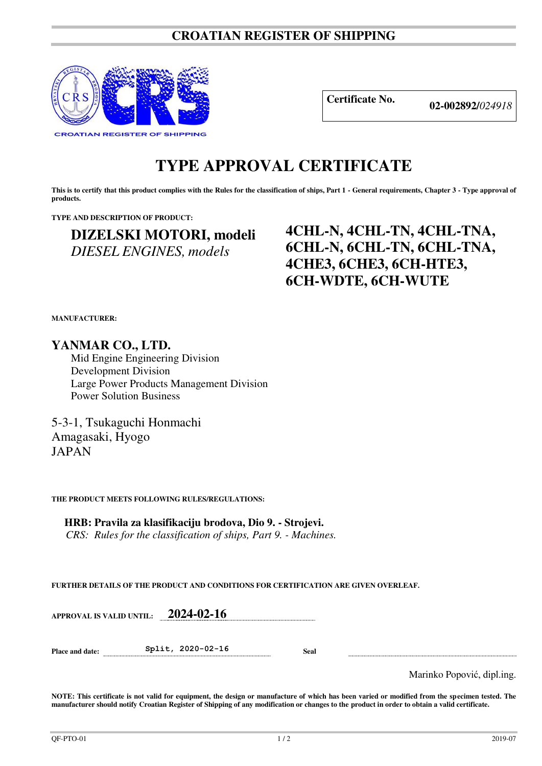### **CROATIAN REGISTER OF SHIPPING**



**Certificate No. 02-002892/***<sup>024918</sup>*

# **TYPE APPROVAL CERTIFICATE**

This is to certify that this product complies with the Rules for the classification of ships, Part 1 - General requirements, Chapter 3 - Type approval of **products.** 

**TYPE AND DESCRIPTION OF PRODUCT:** 

## **DIZELSKI MOTORI, modeli**  *DIESEL ENGINES, models*

## **4CHL-N, 4CHL-TN, 4CHL-TNA, 6CHL-N, 6CHL-TN, 6CHL-TNA, 4CHE3, 6CHE3, 6CH-HTE3, 6CH-WDTE, 6CH-WUTE**

**MANUFACTURER:**

**YANMAR CO., LTD.** 

Mid Engine Engineering Division Development Division Large Power Products Management Division Power Solution Business

5-3-1, Tsukaguchi Honmachi Amagasaki, Hyogo JAPAN

**THE PRODUCT MEETS FOLLOWING RULES/REGULATIONS:**

**HRB: Pravila za klasifikaciju brodova, Dio 9. - Strojevi.** *CRS: Rules for the classification of ships, Part 9. - Machines.*

**FURTHER DETAILS OF THE PRODUCT AND CONDITIONS FOR CERTIFICATION ARE GIVEN OVERLEAF.**

**APPROVAL IS VALID UNTIL: 2024-02-16**

**Place and date: Split, 2020-02-16 Seal** 

Marinko Popović, dipl.ing.

**NOTE: This certificate is not valid for equipment, the design or manufacture of which has been varied or modified from the specimen tested. The manufacturer should notify Croatian Register of Shipping of any modification or changes to the product in order to obtain a valid certificate.**